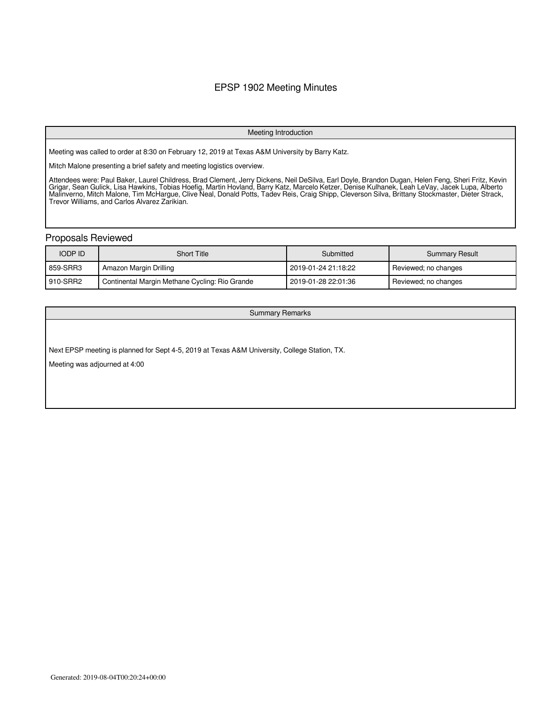#### EPSP 1902 Meeting Minutes

Meeting Introduction

Meeting was called to order at 8:30 on February 12, 2019 at Texas A&M University by Barry Katz.

Mitch Malone presenting a brief safety and meeting logistics overview.

Attendees were: Paul Baker, Laurel Childress, Brad Clement, Jerry Dickens, Neil DeSilva, Earl Doyle, Brandon Dugan, Helen Feng, Sheri Fritz, Kevin Grigar, Sean Gulick, Lisa Hawkins, Tobias Hoefig, Martin Hovland, Barry Katz, Marcelo Ketzer, Denise Kulhanek, Leah LeVay, Jacek Lupa, Alberto Malinverno, Mitch Malone, Tim McHargue, Clive Neal, Donald Potts, Tadev Reis, Craig Shipp, Cleverson Silva, Brittany Stockmaster, Dieter Strack, Trevor Williams, and Carlos Alvarez Zarikian.

#### Proposals Reviewed

| IODP ID    | <b>Short Title</b>                             | Submitted           | <b>Summary Result</b> |
|------------|------------------------------------------------|---------------------|-----------------------|
| 859-SRR3   | Amazon Margin Drilling                         | 2019-01-24 21:18:22 | Reviewed; no changes  |
| l 910-SRR2 | Continental Margin Methane Cycling: Rio Grande | 2019-01-28 22:01:36 | Reviewed; no changes  |

Summary Remarks

Next EPSP meeting is planned for Sept 4-5, 2019 at Texas A&M University, College Station, TX.

Meeting was adjourned at 4:00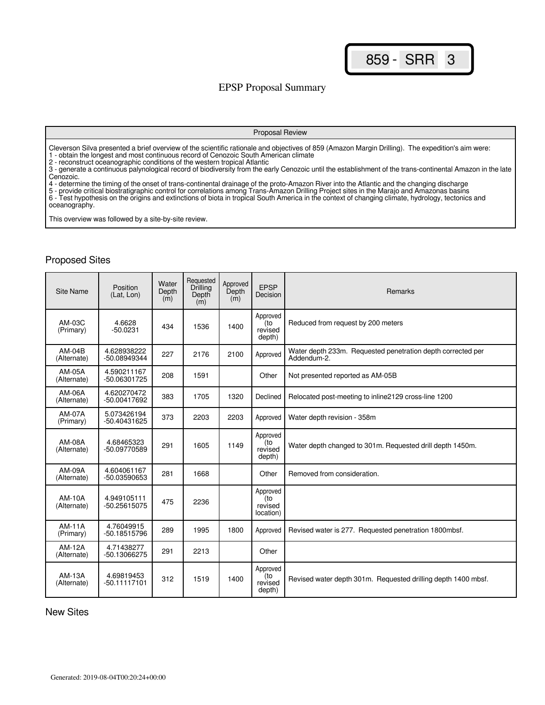859 - SRR 3

#### EPSP Proposal Summary

#### Proposal Review

Cleverson Silva presented a brief overview of the scientific rationale and objectives of 859 (Amazon Margin Drilling). The expedition's aim were: 1 - obtain the longest and most continuous record of Cenozoic South American climate

2 - reconstruct oceanographic conditions of the western tropical Atlantic

3 - generate a continuous palynological record of biodiversity from the early Cenozoic until the establishment of the trans-continental Amazon in the late Cenozoic.

4 - determine the timing of the onset of trans-continental drainage of the proto-Amazon River into the Atlantic and the changing discharge

5 - provide critical biostratigraphic control for correlations among Trans-Amazon Drilling Project sites in the Marajo and Amazonas basins

6 - Test hypothesis on the origins and extinctions of biota in tropical South America in the context of changing climate, hydrology, tectonics and oceanography.

This overview was followed by a site-by-site review.

### Proposed Sites

| Site Name                    | Position<br>(Lat. Lon)       | Water<br>Depth<br>(m) | Requested<br>Drilling<br>Depth<br>(m) | Approved<br>Depth<br>(m) | <b>EPSP</b><br>Decision                 | Remarks                                                                    |
|------------------------------|------------------------------|-----------------------|---------------------------------------|--------------------------|-----------------------------------------|----------------------------------------------------------------------------|
| AM-03C<br>(Primary)          | 4.6628<br>$-50.0231$         | 434                   | 1536                                  | 1400                     | Approved<br>(to<br>revised<br>depth)    | Reduced from request by 200 meters                                         |
| AM-04B<br>(Alternate)        | 4.628938222<br>-50.08949344  | 227                   | 2176                                  | 2100                     | Approved                                | Water depth 233m. Requested penetration depth corrected per<br>Addendum-2. |
| <b>AM-05A</b><br>(Alternate) | 4.590211167<br>-50.06301725  | 208                   | 1591                                  |                          | Other                                   | Not presented reported as AM-05B                                           |
| <b>AM-06A</b><br>(Alternate) | 4.620270472<br>-50.00417692  | 383                   | 1705                                  | 1320                     | Declined                                | Relocated post-meeting to inline2129 cross-line 1200                       |
| AM-07A<br>(Primary)          | 5.073426194<br>-50.40431625  | 373                   | 2203                                  | 2203                     | Approved                                | Water depth revision - 358m                                                |
| <b>AM-08A</b><br>(Alternate) | 4.68465323<br>-50.09770589   | 291                   | 1605                                  | 1149                     | Approved<br>(to<br>revised<br>depth)    | Water depth changed to 301m. Requested drill depth 1450m.                  |
| <b>AM-09A</b><br>(Alternate) | 4.604061167<br>-50.03590653  | 281                   | 1668                                  |                          | Other                                   | Removed from consideration.                                                |
| <b>AM-10A</b><br>(Alternate) | 4.949105111<br>-50.25615075  | 475                   | 2236                                  |                          | Approved<br>(to<br>revised<br>location) |                                                                            |
| <b>AM-11A</b><br>(Primary)   | 4.76049915<br>-50.18515796   | 289                   | 1995                                  | 1800                     | Approved                                | Revised water is 277. Requested penetration 1800mbsf.                      |
| <b>AM-12A</b><br>(Alternate) | 4.71438277<br>-50.13066275   | 291                   | 2213                                  |                          | Other                                   |                                                                            |
| <b>AM-13A</b><br>(Alternate) | 4.69819453<br>$-50.11117101$ | 312                   | 1519                                  | 1400                     | Approved<br>(to<br>revised<br>depth)    | Revised water depth 301m. Requested drilling depth 1400 mbsf.              |

New Sites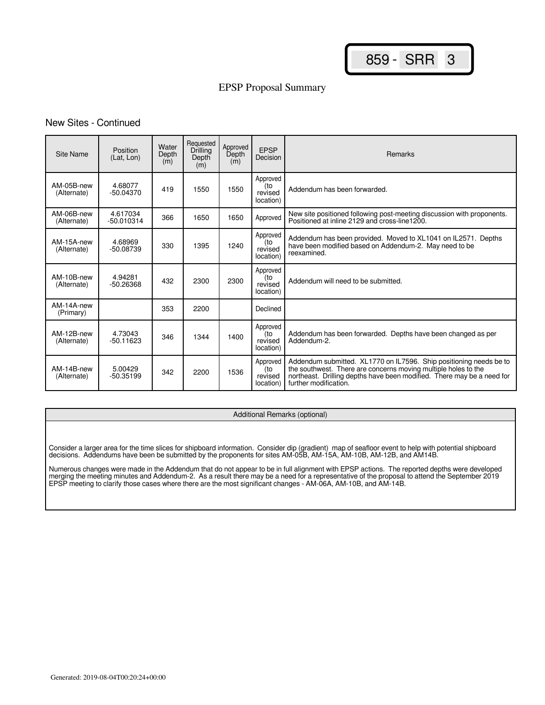## EPSP Proposal Summary

#### New Sites - Continued

| <b>Site Name</b>          | <b>Position</b><br>(Lat, Lon) | Water<br>Depth<br>(m) | Requested<br><b>Drilling</b><br>Depth<br>(m) | Approved<br>Depth<br>(m) | <b>EPSP</b><br>Decision                 | <b>Remarks</b>                                                                                                                                                                                                                          |
|---------------------------|-------------------------------|-----------------------|----------------------------------------------|--------------------------|-----------------------------------------|-----------------------------------------------------------------------------------------------------------------------------------------------------------------------------------------------------------------------------------------|
| AM-05B-new<br>(Alternate) | 4.68077<br>$-50.04370$        | 419                   | 1550                                         | 1550                     | Approved<br>(to<br>revised<br>location) | Addendum has been forwarded.                                                                                                                                                                                                            |
| AM-06B-new<br>(Alternate) | 4.617034<br>$-50.010314$      | 366                   | 1650                                         | 1650                     | Approved                                | New site positioned following post-meeting discussion with proponents.<br>Positioned at inline 2129 and cross-line 1200.                                                                                                                |
| AM-15A-new<br>(Alternate) | 4.68969<br>-50.08739          | 330                   | 1395                                         | 1240                     | Approved<br>(to<br>revised<br>location) | Addendum has been provided. Moved to XL1041 on IL2571. Depths<br>have been modified based on Addendum-2. May need to be<br>reexamined.                                                                                                  |
| AM-10B-new<br>(Alternate) | 4.94281<br>$-50.26368$        | 432                   | 2300                                         | 2300                     | Approved<br>(to<br>revised<br>location) | Addendum will need to be submitted.                                                                                                                                                                                                     |
| AM-14A-new<br>(Primary)   |                               | 353                   | 2200                                         |                          | Declined                                |                                                                                                                                                                                                                                         |
| AM-12B-new<br>(Alternate) | 4.73043<br>$-50.11623$        | 346                   | 1344                                         | 1400                     | Approved<br>(to<br>revised<br>location) | Addendum has been forwarded. Depths have been changed as per<br>Addendum-2.                                                                                                                                                             |
| AM-14B-new<br>(Alternate) | 5.00429<br>$-50.35199$        | 342                   | 2200                                         | 1536                     | Approved<br>(to<br>revised<br>location) | Addendum submitted. XL1770 on IL7596. Ship positioning needs be to<br>the southwest. There are concerns moving multiple holes to the<br>northeast. Drilling depths have been modified. There may be a need for<br>further modification. |

Additional Remarks (optional)

Consider a larger area for the time slices for shipboard information. Consider dip (gradient) map of seafloor event to help with potential shipboard decisions. Addendums have been be submitted by the proponents for sites AM-05B, AM-15A, AM-10B, AM-12B, and AM14B.

Numerous changes were made in the Addendum that do not appear to be in full alignment with EPSP actions. The reported depths were developed merging the meeting minutes and Addendum-2. As a result there may be a need for a representative of the proposal to attend the September 2019 EPSP meeting to clarify those cases where there are the most significant changes - AM-06A, AM-10B, and AM-14B.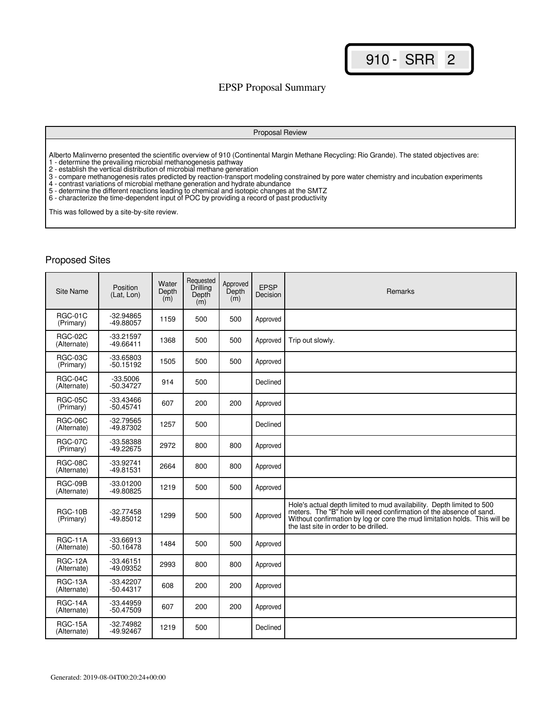910 - SRR 2

#### EPSP Proposal Summary

#### Proposal Review

Alberto Malinverno presented the scientific overview of 910 (Continental Margin Methane Recycling: Rio Grande). The stated objectives are: 1 - determine the prevailing microbial methanogenesis pathway

2 - establish the vertical distribution of microbial methane generation

3 - compare methanogenesis rates predicted by reaction-transport modeling constrained by pore water chemistry and incubation experiments

4 - contrast variations of microbial methane generation and hydrate abundance

5 - determine the different reactions leading to chemical and isotopic changes at the SMTZ

6 - characterize the time-dependent input of POC by providing a record of past productivity

This was followed by a site-by-site review.

### Proposed Sites

| Site Name                     | Position<br>(Lat. Lon)     | Water<br>Depth<br>$\dot{m}$ | Requested<br>Drilling<br>Depth<br>(m) | Approved<br>Depth<br>(m) | <b>EPSP</b><br>Decision | Remarks                                                                                                                                                                                                                                                          |
|-------------------------------|----------------------------|-----------------------------|---------------------------------------|--------------------------|-------------------------|------------------------------------------------------------------------------------------------------------------------------------------------------------------------------------------------------------------------------------------------------------------|
| <b>RGC-01C</b><br>(Primary)   | $-32.94865$<br>-49.88057   | 1159                        | 500                                   | 500                      | Approved                |                                                                                                                                                                                                                                                                  |
| <b>RGC-02C</b><br>(Alternate) | $-33.21597$<br>$-49.66411$ | 1368                        | 500                                   | 500                      | Approved                | Trip out slowly.                                                                                                                                                                                                                                                 |
| <b>RGC-03C</b><br>(Primary)   | $-33.65803$<br>$-50.15192$ | 1505                        | 500                                   | 500                      | Approved                |                                                                                                                                                                                                                                                                  |
| RGC-04C<br>(Alternate)        | $-33.5006$<br>$-50.34727$  | 914                         | 500                                   |                          | Declined                |                                                                                                                                                                                                                                                                  |
| <b>RGC-05C</b><br>(Primary)   | $-33.43466$<br>$-50.45741$ | 607                         | 200                                   | 200                      | Approved                |                                                                                                                                                                                                                                                                  |
| <b>RGC-06C</b><br>(Alternate) | $-32.79565$<br>-49.87302   | 1257                        | 500                                   |                          | Declined                |                                                                                                                                                                                                                                                                  |
| <b>RGC-07C</b><br>(Primary)   | $-33.58388$<br>$-49.22675$ | 2972                        | 800                                   | 800                      | Approved                |                                                                                                                                                                                                                                                                  |
| <b>RGC-08C</b><br>(Alternate) | $-33.92741$<br>$-49.81531$ | 2664                        | 800                                   | 800                      | Approved                |                                                                                                                                                                                                                                                                  |
| RGC-09B<br>(Alternate)        | $-33.01200$<br>-49.80825   | 1219                        | 500                                   | 500                      | Approved                |                                                                                                                                                                                                                                                                  |
| <b>RGC-10B</b><br>(Primary)   | $-32.77458$<br>$-49.85012$ | 1299                        | 500                                   | 500                      | Approved                | Hole's actual depth limited to mud availability. Depth limited to 500 meters. The "B" hole will need confirmation of the absence of sand.<br>Without confirmation by log or core the mud limitation holds. This will be<br>the last site in order to be drilled. |
| <b>RGC-11A</b><br>(Alternate) | $-33.66913$<br>$-50.16478$ | 1484                        | 500                                   | 500                      | Approved                |                                                                                                                                                                                                                                                                  |
| <b>RGC-12A</b><br>(Alternate) | $-33.46151$<br>-49.09352   | 2993                        | 800                                   | 800                      | Approved                |                                                                                                                                                                                                                                                                  |
| <b>RGC-13A</b><br>(Alternate) | $-33.42207$<br>$-50.44317$ | 608                         | 200                                   | 200                      | Approved                |                                                                                                                                                                                                                                                                  |
| RGC-14A<br>(Alternate)        | $-33.44959$<br>$-50.47509$ | 607                         | 200                                   | 200                      | Approved                |                                                                                                                                                                                                                                                                  |
| RGC-15A<br>(Alternate)        | $-32.74982$<br>-49.92467   | 1219                        | 500                                   |                          | Declined                |                                                                                                                                                                                                                                                                  |